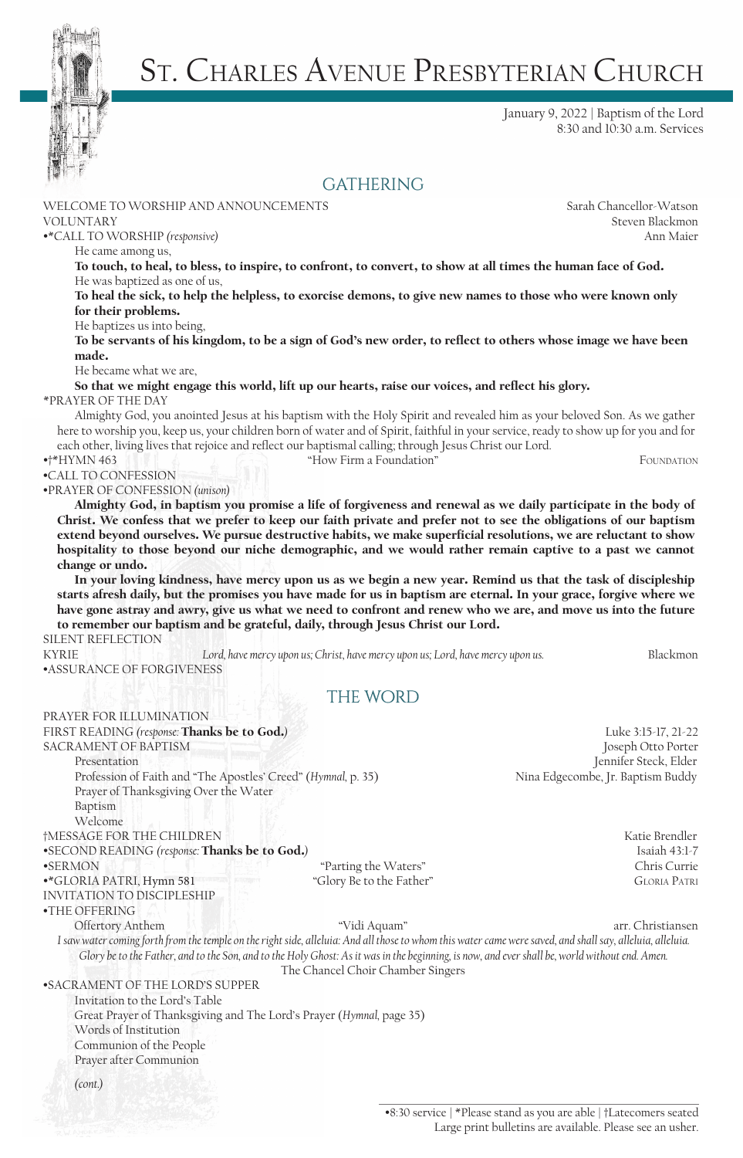

# St. Charles Avenue Presbyterian Church

January 9, 2022 | Baptism of the Lord 8:30 and 10:30 a.m. Services

#### **GATHERING**

WELCOME TO WORSHIP AND ANNOUNCEMENTS Sarah Chancellor-Watson

VOLUNTARY Steven Blackmon •\*CALL TO WORSHIP *(responsive)* Ann Maier

He came among us,

To touch, to heal, to bless, to inspire, to confront, to convert, to show at all times the human face of God. He was baptized as one of us,

To heal the sick, to help the helpless, to exorcise demons, to give new names to those who were known only for their problems.

He baptizes us into being,

To be servants of his kingdom, to be a sign of God's new order, to reflect to others whose image we have been made.

He became what we are,

So that we might engage this world, lift up our hearts, raise our voices, and reflect his glory. \*PRAYER OF THE DAY

Almighty God, you anointed Jesus at his baptism with the Holy Spirit and revealed him as your beloved Son. As we gather here to worship you, keep us, your children born of water and of Spirit, faithful in your service, ready to show up for you and for each other, living lives that rejoice and reflect our baptismal calling; through Jesus Christ our Lord.

•†\*HYMN 463 "How Firm a Foundation" Foundation

•CALL TO CONFESSION

•PRAYER OF CONFESSION *(unison)* 

Almighty God, in baptism you promise a life of forgiveness and renewal as we daily participate in the body of Christ. We confess that we prefer to keep our faith private and prefer not to see the obligations of our baptism extend beyond ourselves. We pursue destructive habits, we make superficial resolutions, we are reluctant to show hospitality to those beyond our niche demographic, and we would rather remain captive to a past we cannot change or undo.

In your loving kindness, have mercy upon us as we begin a new year. Remind us that the task of discipleship starts afresh daily, but the promises you have made for us in baptism are eternal. In your grace, forgive where we have gone astray and awry, give us what we need to confront and renew who we are, and move us into the future to remember our baptism and be grateful, daily, through Jesus Christ our Lord.

SILENT REFLECTION

KYRIE *Lord, have mercy upon us; Christ, have mercy upon us; Lord, have mercy upon us.* Blackmon •ASSURANCE OF FORGIVENESS

## $THE WORD$

| PRAYER FOR ILLUMINATION                                                                                                                                                                                                                                                                                      |                                   |                                   |
|--------------------------------------------------------------------------------------------------------------------------------------------------------------------------------------------------------------------------------------------------------------------------------------------------------------|-----------------------------------|-----------------------------------|
| FIRST READING (response: Thanks be to God.)                                                                                                                                                                                                                                                                  |                                   | Luke 3:15-17, 21-22               |
| <b>SACRAMENT OF BAPTISM</b>                                                                                                                                                                                                                                                                                  |                                   | Joseph Otto Porter                |
| Presentation                                                                                                                                                                                                                                                                                                 |                                   | Jennifer Steck, Elder             |
| Profession of Faith and "The Apostles' Creed" (Hymnal, p. 35)                                                                                                                                                                                                                                                |                                   | Nina Edgecombe, Jr. Baptism Buddy |
| Prayer of Thanksgiving Over the Water                                                                                                                                                                                                                                                                        |                                   |                                   |
| Baptism                                                                                                                                                                                                                                                                                                      |                                   |                                   |
| Welcome                                                                                                                                                                                                                                                                                                      |                                   |                                   |
| †MESSAGE FOR THE CHILDREN                                                                                                                                                                                                                                                                                    |                                   | Katie Brendler                    |
| •SECOND READING (response: Thanks be to God.)                                                                                                                                                                                                                                                                |                                   | Isaiah 43:1-7                     |
| $\bullet$ SERMON                                                                                                                                                                                                                                                                                             | "Parting the Waters"              | Chris Currie                      |
| •*GLORIA PATRI, Hymn 581                                                                                                                                                                                                                                                                                     | "Glory Be to the Father"          | <b>GLORIA PATRI</b>               |
| <b>INVITATION TO DISCIPLESHIP</b>                                                                                                                                                                                                                                                                            |                                   |                                   |
| •THE OFFERING                                                                                                                                                                                                                                                                                                |                                   |                                   |
| Offertory Anthem                                                                                                                                                                                                                                                                                             | "Vidi Aquam"                      | arr. Christiansen                 |
| I saw water coming forth from the temple on the right side, alleluia: And all those to whom this water came were saved, and shall say, alleluia, alleluia.<br>Glory be to the Father, and to the Son, and to the Holy Ghost: As it was in the beginning, is now, and ever shall be, world without end. Amen. |                                   |                                   |
|                                                                                                                                                                                                                                                                                                              | The Chancel Choir Chamber Singers |                                   |
| •SACRAMENT OF THE LORD'S SUPPER                                                                                                                                                                                                                                                                              |                                   |                                   |
| Invitation to the Lord's Table                                                                                                                                                                                                                                                                               |                                   |                                   |
| Great Prayer of Thanksgiving and The Lord's Prayer (Hymnal, page 35)                                                                                                                                                                                                                                         |                                   |                                   |
| Words of Institution                                                                                                                                                                                                                                                                                         |                                   |                                   |
| Communion of the People                                                                                                                                                                                                                                                                                      |                                   |                                   |
| Prayer after Communion                                                                                                                                                                                                                                                                                       |                                   |                                   |
| (cont.)                                                                                                                                                                                                                                                                                                      |                                   |                                   |
|                                                                                                                                                                                                                                                                                                              |                                   |                                   |